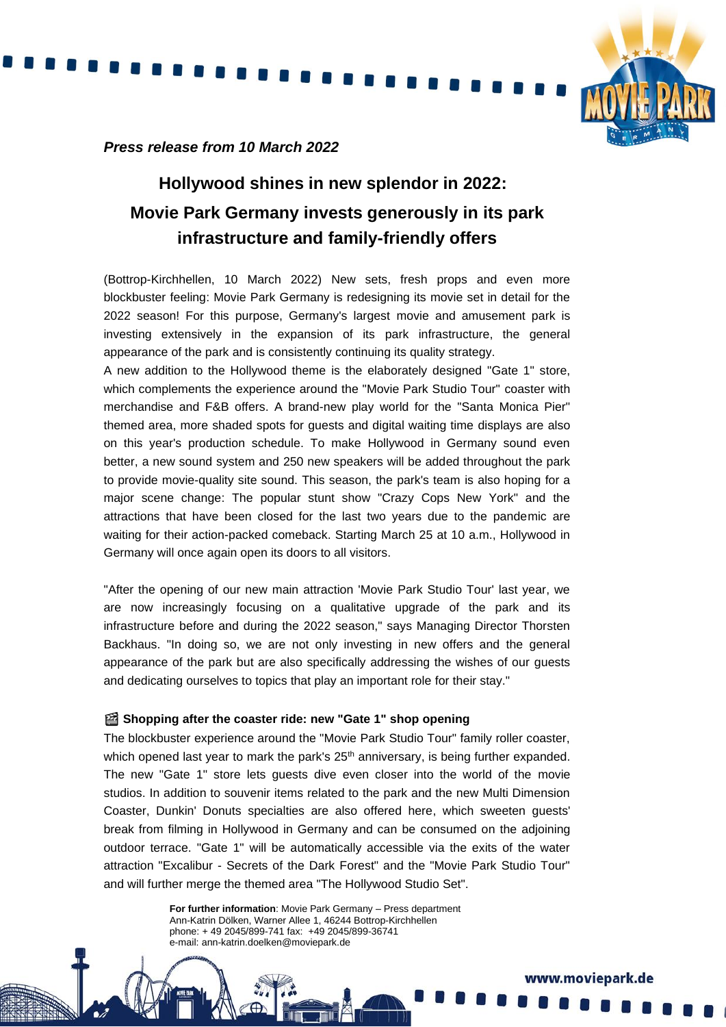

## *Press release from 10 March 2022*

# **Hollywood shines in new splendor in 2022: Movie Park Germany invests generously in its park infrastructure and family-friendly offers**

(Bottrop-Kirchhellen, 10 March 2022) New sets, fresh props and even more blockbuster feeling: Movie Park Germany is redesigning its movie set in detail for the 2022 season! For this purpose, Germany's largest movie and amusement park is investing extensively in the expansion of its park infrastructure, the general appearance of the park and is consistently continuing its quality strategy.

A new addition to the Hollywood theme is the elaborately designed "Gate 1" store, which complements the experience around the "Movie Park Studio Tour" coaster with merchandise and F&B offers. A brand-new play world for the "Santa Monica Pier" themed area, more shaded spots for guests and digital waiting time displays are also on this year's production schedule. To make Hollywood in Germany sound even better, a new sound system and 250 new speakers will be added throughout the park to provide movie-quality site sound. This season, the park's team is also hoping for a major scene change: The popular stunt show "Crazy Cops New York" and the attractions that have been closed for the last two years due to the pandemic are waiting for their action-packed comeback. Starting March 25 at 10 a.m., Hollywood in Germany will once again open its doors to all visitors.

"After the opening of our new main attraction 'Movie Park Studio Tour' last year, we are now increasingly focusing on a qualitative upgrade of the park and its infrastructure before and during the 2022 season," says Managing Director Thorsten Backhaus. "In doing so, we are not only investing in new offers and the general appearance of the park but are also specifically addressing the wishes of our guests and dedicating ourselves to topics that play an important role for their stay."

### **Shopping after the coaster ride: new "Gate 1" shop opening**

The blockbuster experience around the "Movie Park Studio Tour" family roller coaster, which opened last year to mark the park's  $25<sup>th</sup>$  anniversary, is being further expanded. The new "Gate 1" store lets guests dive even closer into the world of the movie studios. In addition to souvenir items related to the park and the new Multi Dimension Coaster, Dunkin' Donuts specialties are also offered here, which sweeten guests' break from filming in Hollywood in Germany and can be consumed on the adjoining outdoor terrace. "Gate 1" will be automatically accessible via the exits of the water attraction "Excalibur - Secrets of the Dark Forest" and the "Movie Park Studio Tour" and will further merge the themed area "The Hollywood Studio Set".

> **For further information**: Movie Park Germany – Press department Ann-Katrin Dölken, Warner Allee 1, 46244 Bottrop-Kirchhellen phone: + 49 2045/899-741 fax: +49 2045/899-36741 e-mail: ann-katrin.doelken@moviepark.de

> > www.moviepark.de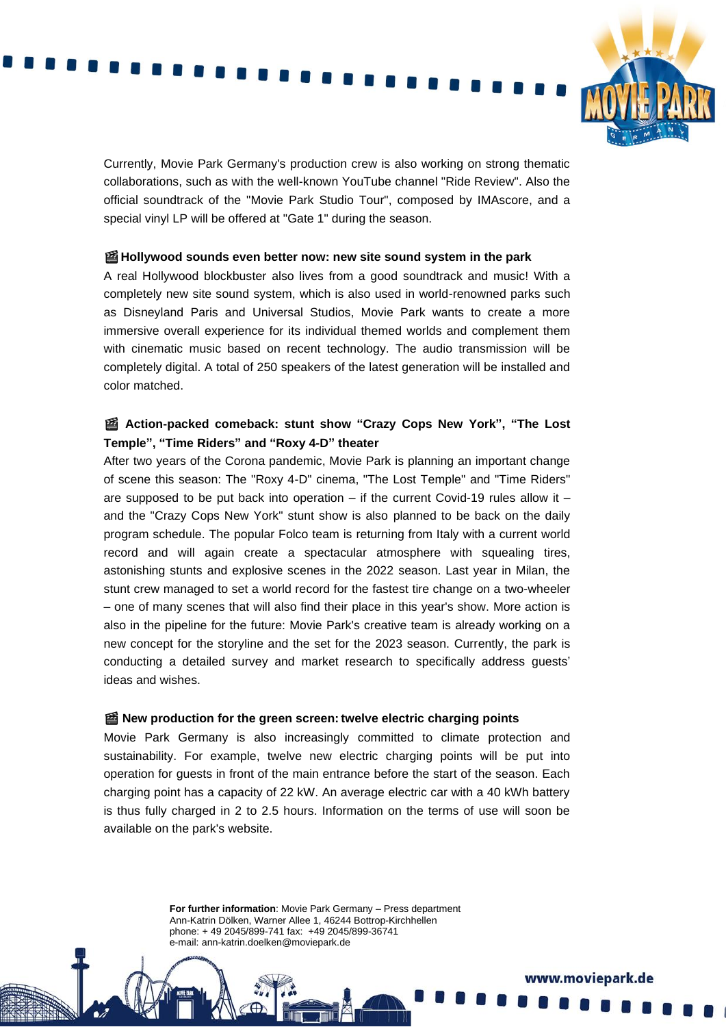Currently, Movie Park Germany's production crew is also working on strong thematic collaborations, such as with the well-known YouTube channel "Ride Review". Also the official soundtrack of the "Movie Park Studio Tour", composed by IMAscore, and a special vinyl LP will be offered at "Gate 1" during the season.

#### **Hollywood sounds even better now: new site sound system in the park**

A real Hollywood blockbuster also lives from a good soundtrack and music! With a completely new site sound system, which is also used in world-renowned parks such as Disneyland Paris and Universal Studios, Movie Park wants to create a more immersive overall experience for its individual themed worlds and complement them with cinematic music based on recent technology. The audio transmission will be completely digital. A total of 250 speakers of the latest generation will be installed and color matched.

## **Action-packed comeback: stunt show "Crazy Cops New York", "The Lost Temple", "Time Riders" and "Roxy 4-D" theater**

After two years of the Corona pandemic, Movie Park is planning an important change of scene this season: The "Roxy 4-D" cinema, "The Lost Temple" and "Time Riders" are supposed to be put back into operation – if the current Covid-19 rules allow it – and the "Crazy Cops New York" stunt show is also planned to be back on the daily program schedule. The popular Folco team is returning from Italy with a current world record and will again create a spectacular atmosphere with squealing tires, astonishing stunts and explosive scenes in the 2022 season. Last year in Milan, the stunt crew managed to set a world record for the fastest tire change on a two-wheeler – one of many scenes that will also find their place in this year's show. More action is also in the pipeline for the future: Movie Park's creative team is already working on a new concept for the storyline and the set for the 2023 season. Currently, the park is conducting a detailed survey and market research to specifically address guests' ideas and wishes.

#### **New production for the green screen: twelve electric charging points**

Movie Park Germany is also increasingly committed to climate protection and sustainability. For example, twelve new electric charging points will be put into operation for guests in front of the main entrance before the start of the season. Each charging point has a capacity of 22 kW. An average electric car with a 40 kWh battery is thus fully charged in 2 to 2.5 hours. Information on the terms of use will soon be available on the park's website.

> **For further information**: Movie Park Germany – Press department Ann-Katrin Dölken, Warner Allee 1, 46244 Bottrop-Kirchhellen phone: + 49 2045/899-741 fax: +49 2045/899-36741 e-mail: ann-katrin.doelken@moviepark.de

> > www.moviepark.de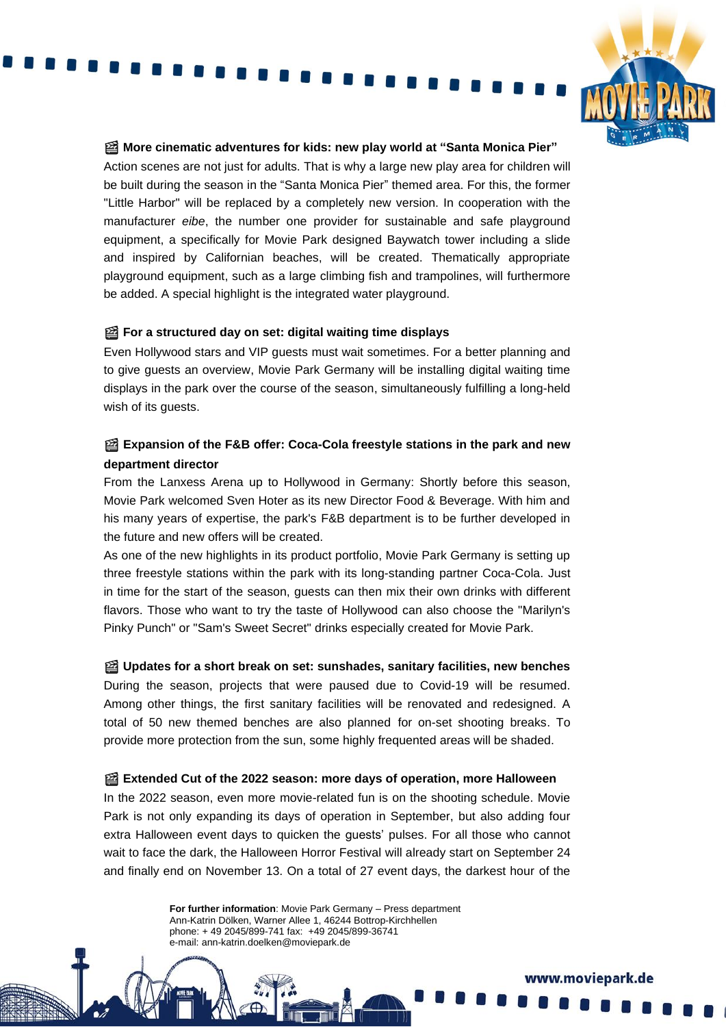

www.moviepark.de

#### **More cinematic adventures for kids: new play world at "Santa Monica Pier"**

Action scenes are not just for adults. That is why a large new play area for children will be built during the season in the "Santa Monica Pier" themed area. For this, the former "Little Harbor" will be replaced by a completely new version. In cooperation with the manufacturer *eibe*, the number one provider for sustainable and safe playground equipment, a specifically for Movie Park designed Baywatch tower including a slide and inspired by Californian beaches, will be created. Thematically appropriate playground equipment, such as a large climbing fish and trampolines, will furthermore be added. A special highlight is the integrated water playground.

## **For a structured day on set: digital waiting time displays**

Even Hollywood stars and VIP guests must wait sometimes. For a better planning and to give guests an overview, Movie Park Germany will be installing digital waiting time displays in the park over the course of the season, simultaneously fulfilling a long-held wish of its guests.

## **Expansion of the F&B offer: Coca-Cola freestyle stations in the park and new department director**

From the Lanxess Arena up to Hollywood in Germany: Shortly before this season, Movie Park welcomed Sven Hoter as its new Director Food & Beverage. With him and his many years of expertise, the park's F&B department is to be further developed in the future and new offers will be created.

As one of the new highlights in its product portfolio, Movie Park Germany is setting up three freestyle stations within the park with its long-standing partner Coca-Cola. Just in time for the start of the season, guests can then mix their own drinks with different flavors. Those who want to try the taste of Hollywood can also choose the "Marilyn's Pinky Punch" or "Sam's Sweet Secret" drinks especially created for Movie Park.

 **Updates for a short break on set: sunshades, sanitary facilities, new benches** During the season, projects that were paused due to Covid-19 will be resumed. Among other things, the first sanitary facilities will be renovated and redesigned. A total of 50 new themed benches are also planned for on-set shooting breaks. To provide more protection from the sun, some highly frequented areas will be shaded.

### **Extended Cut of the 2022 season: more days of operation, more Halloween**

In the 2022 season, even more movie-related fun is on the shooting schedule. Movie Park is not only expanding its days of operation in September, but also adding four extra Halloween event days to quicken the guests' pulses. For all those who cannot wait to face the dark, the Halloween Horror Festival will already start on September 24 and finally end on November 13. On a total of 27 event days, the darkest hour of the

> **For further information**: Movie Park Germany – Press department Ann-Katrin Dölken, Warner Allee 1, 46244 Bottrop-Kirchhellen phone: + 49 2045/899-741 fax: +49 2045/899-36741 e-mail: ann-katrin.doelken@moviepark.de